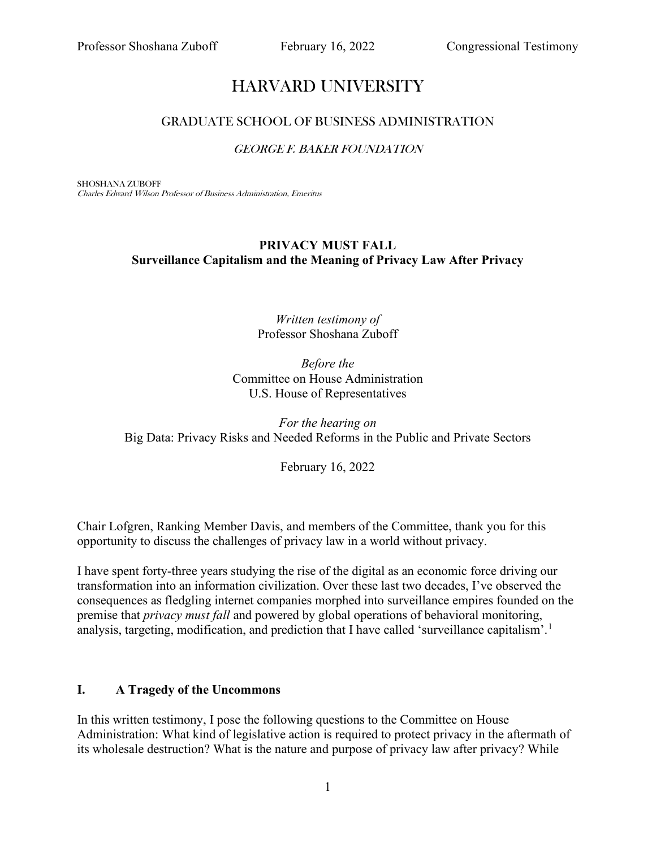# HARVARD UNIVERSITY

### GRADUATE SCHOOL OF BUSINESS ADMINISTRATION

#### GEORGE F. BAKER FOUNDATION

SHOSHANA ZUBOFF Charles Edward Wilson Professor of Business Administration, Emeritus

## **PRIVACY MUST FALL Surveillance Capitalism and the Meaning of Privacy Law After Privacy**

#### *Written testimony of* Professor Shoshana Zuboff

*Before the* Committee on House Administration U.S. House of Representatives

*For the hearing on*  Big Data: Privacy Risks and Needed Reforms in the Public and Private Sectors

February 16, 2022

Chair Lofgren, Ranking Member Davis, and members of the Committee, thank you for this opportunity to discuss the challenges of privacy law in a world without privacy.

I have spent forty-three years studying the rise of the digital as an economic force driving our transformation into an information civilization. Over these last two decades, I've observed the consequences as fledgling internet companies morphed into surveillance empires founded on the premise that *privacy must fall* and powered by global operations of behavioral monitoring, analysis, targeting, modification, and prediction that I have called 'surveillance capitalism'.<sup>[1](#page-15-0)</sup>

#### **I. A Tragedy of the Uncommons**

In this written testimony, I pose the following questions to the Committee on House Administration: What kind of legislative action is required to protect privacy in the aftermath of its wholesale destruction? What is the nature and purpose of privacy law after privacy? While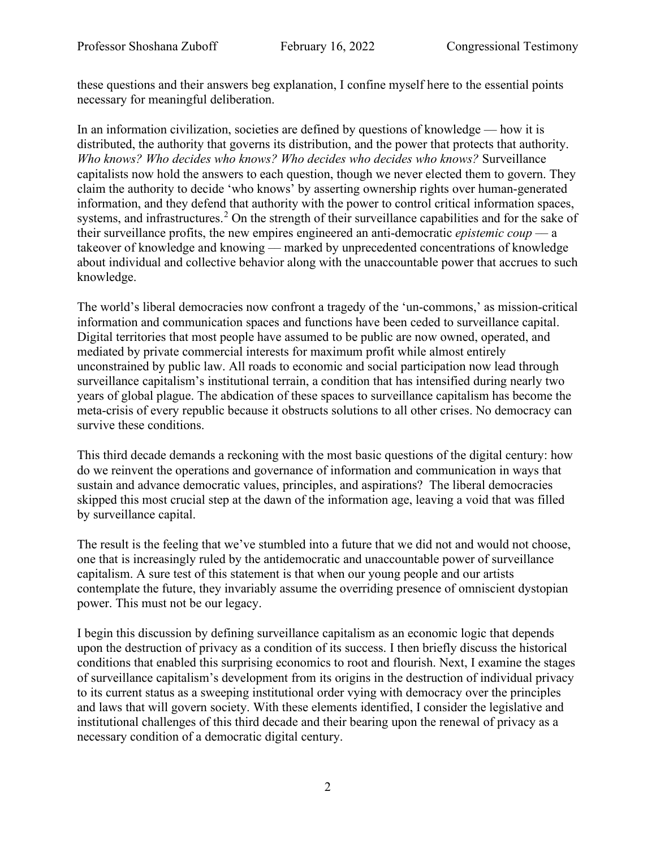these questions and their answers beg explanation, I confine myself here to the essential points necessary for meaningful deliberation.

In an information civilization, societies are defined by questions of knowledge — how it is distributed, the authority that governs its distribution, and the power that protects that authority. *Who knows? Who decides who knows? Who decides who decides who knows?* Surveillance capitalists now hold the answers to each question, though we never elected them to govern. They claim the authority to decide 'who knows' by asserting ownership rights over human-generated information, and they defend that authority with the power to control critical information spaces, systems, and infrastructures.<sup>[2](#page-15-1)</sup> On the strength of their surveillance capabilities and for the sake of their surveillance profits, the new empires engineered an anti-democratic *epistemic coup ––* a takeover of knowledge and knowing — marked by unprecedented concentrations of knowledge about individual and collective behavior along with the unaccountable power that accrues to such knowledge.

The world's liberal democracies now confront a tragedy of the 'un-commons,' as mission-critical information and communication spaces and functions have been ceded to surveillance capital. Digital territories that most people have assumed to be public are now owned, operated, and mediated by private commercial interests for maximum profit while almost entirely unconstrained by public law. All roads to economic and social participation now lead through surveillance capitalism's institutional terrain, a condition that has intensified during nearly two years of global plague. The abdication of these spaces to surveillance capitalism has become the meta-crisis of every republic because it obstructs solutions to all other crises. No democracy can survive these conditions.

This third decade demands a reckoning with the most basic questions of the digital century: how do we reinvent the operations and governance of information and communication in ways that sustain and advance democratic values, principles, and aspirations? The liberal democracies skipped this most crucial step at the dawn of the information age, leaving a void that was filled by surveillance capital.

The result is the feeling that we've stumbled into a future that we did not and would not choose, one that is increasingly ruled by the antidemocratic and unaccountable power of surveillance capitalism. A sure test of this statement is that when our young people and our artists contemplate the future, they invariably assume the overriding presence of omniscient dystopian power. This must not be our legacy.

I begin this discussion by defining surveillance capitalism as an economic logic that depends upon the destruction of privacy as a condition of its success. I then briefly discuss the historical conditions that enabled this surprising economics to root and flourish. Next, I examine the stages of surveillance capitalism's development from its origins in the destruction of individual privacy to its current status as a sweeping institutional order vying with democracy over the principles and laws that will govern society. With these elements identified, I consider the legislative and institutional challenges of this third decade and their bearing upon the renewal of privacy as a necessary condition of a democratic digital century.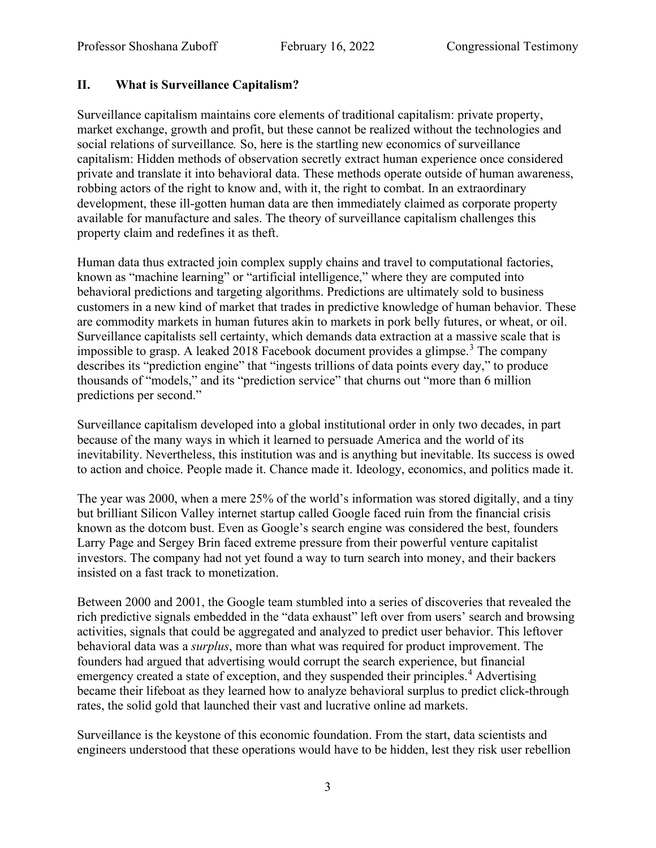# **II. What is Surveillance Capitalism?**

Surveillance capitalism maintains core elements of traditional capitalism: private property, market exchange, growth and profit, but these cannot be realized without the technologies and social relations of surveillance*.* So, here is the startling new economics of surveillance capitalism: Hidden methods of observation secretly extract human experience once considered private and translate it into behavioral data. These methods operate outside of human awareness, robbing actors of the right to know and, with it, the right to combat. In an extraordinary development, these ill-gotten human data are then immediately claimed as corporate property available for manufacture and sales. The theory of surveillance capitalism challenges this property claim and redefines it as theft.

Human data thus extracted join complex supply chains and travel to computational factories, known as "machine learning" or "artificial intelligence," where they are computed into behavioral predictions and targeting algorithms. Predictions are ultimately sold to business customers in a new kind of market that trades in predictive knowledge of human behavior. These are commodity markets in human futures akin to markets in pork belly futures, or wheat, or oil. Surveillance capitalists sell certainty, which demands data extraction at a massive scale that is impossible to grasp. A leaked 2018 Facebook document provides a glimpse.<sup>[3](#page-15-2)</sup> The company describes its "prediction engine" that "ingests trillions of data points every day," to produce thousands of "models," and its "prediction service" that churns out "more than 6 million predictions per second."

Surveillance capitalism developed into a global institutional order in only two decades, in part because of the many ways in which it learned to persuade America and the world of its inevitability. Nevertheless, this institution was and is anything but inevitable. Its success is owed to action and choice. People made it. Chance made it. Ideology, economics, and politics made it.

The year was 2000, when a mere 25% of the world's information was stored digitally, and a tiny but brilliant Silicon Valley internet startup called Google faced ruin from the financial crisis known as the dotcom bust. Even as Google's search engine was considered the best, founders Larry Page and Sergey Brin faced extreme pressure from their powerful venture capitalist investors. The company had not yet found a way to turn search into money, and their backers insisted on a fast track to monetization.

Between 2000 and 2001, the Google team stumbled into a series of discoveries that revealed the rich predictive signals embedded in the "data exhaust" left over from users' search and browsing activities, signals that could be aggregated and analyzed to predict user behavior. This leftover behavioral data was a *surplus*, more than what was required for product improvement. The founders had argued that advertising would corrupt the search experience, but financial emergency created a state of exception, and they suspended their principles.<sup>[4](#page-15-3)</sup> Advertising became their lifeboat as they learned how to analyze behavioral surplus to predict click-through rates, the solid gold that launched their vast and lucrative online ad markets.

Surveillance is the keystone of this economic foundation. From the start, data scientists and engineers understood that these operations would have to be hidden, lest they risk user rebellion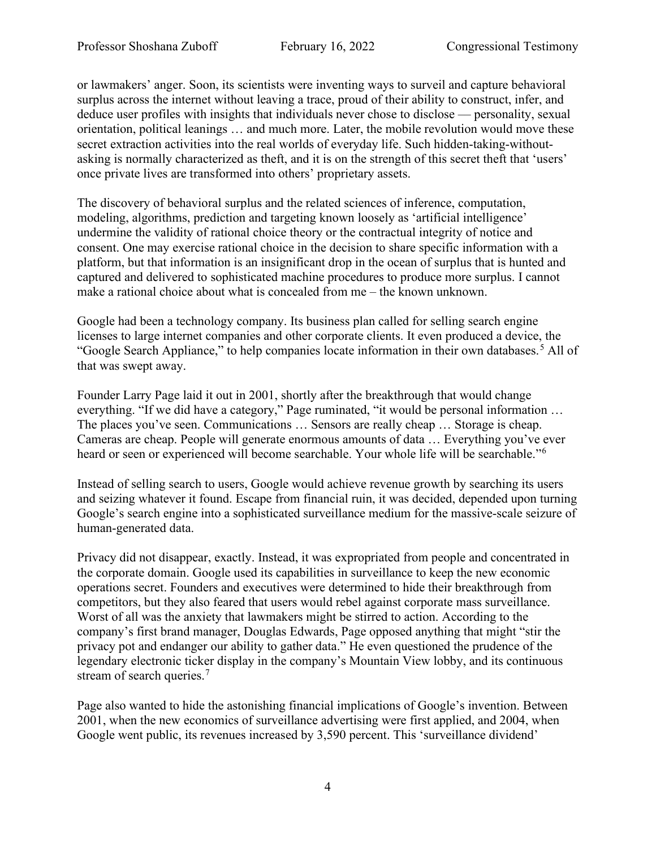or lawmakers' anger. Soon, its scientists were inventing ways to surveil and capture behavioral surplus across the internet without leaving a trace, proud of their ability to construct, infer, and deduce user profiles with insights that individuals never chose to disclose –– personality, sexual orientation, political leanings … and much more. Later, the mobile revolution would move these secret extraction activities into the real worlds of everyday life. Such hidden-taking-withoutasking is normally characterized as theft, and it is on the strength of this secret theft that 'users' once private lives are transformed into others' proprietary assets.

The discovery of behavioral surplus and the related sciences of inference, computation, modeling, algorithms, prediction and targeting known loosely as 'artificial intelligence' undermine the validity of rational choice theory or the contractual integrity of notice and consent. One may exercise rational choice in the decision to share specific information with a platform, but that information is an insignificant drop in the ocean of surplus that is hunted and captured and delivered to sophisticated machine procedures to produce more surplus. I cannot make a rational choice about what is concealed from me – the known unknown.

Google had been a technology company. Its business plan called for selling search engine licenses to large internet companies and other corporate clients. It even produced a device, the "Google Search Appliance," to help companies locate information in their own databases.<sup>[5](#page-15-4)</sup> All of that was swept away.

Founder Larry Page laid it out in 2001, shortly after the breakthrough that would change everything. "If we did have a category," Page ruminated, "it would be personal information … The places you've seen. Communications … Sensors are really cheap … Storage is cheap. Cameras are cheap. People will generate enormous amounts of data … Everything you've ever heard or seen or experienced will become searchable. Your whole life will be searchable."[6](#page-15-5)

Instead of selling search to users, Google would achieve revenue growth by searching its users and seizing whatever it found. Escape from financial ruin, it was decided, depended upon turning Google's search engine into a sophisticated surveillance medium for the massive-scale seizure of human-generated data.

Privacy did not disappear, exactly. Instead, it was expropriated from people and concentrated in the corporate domain. Google used its capabilities in surveillance to keep the new economic operations secret. Founders and executives were determined to hide their breakthrough from competitors, but they also feared that users would rebel against corporate mass surveillance. Worst of all was the anxiety that lawmakers might be stirred to action. According to the company's first brand manager, Douglas Edwards, Page opposed anything that might "stir the privacy pot and endanger our ability to gather data." He even questioned the prudence of the legendary electronic ticker display in the company's Mountain View lobby, and its continuous stream of search queries.<sup>[7](#page-15-6)</sup>

Page also wanted to hide the astonishing financial implications of Google's invention. Between 2001, when the new economics of surveillance advertising were first applied, and 2004, when Google went public, its revenues increased by 3,590 percent. This 'surveillance dividend'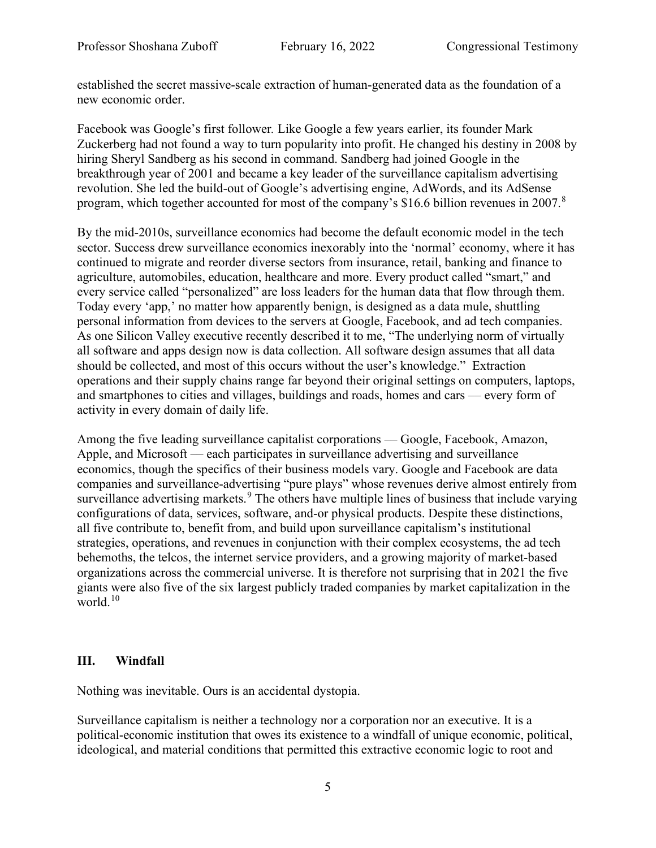established the secret massive-scale extraction of human-generated data as the foundation of a new economic order.

Facebook was Google's first follower*.* Like Google a few years earlier, its founder Mark Zuckerberg had not found a way to turn popularity into profit. He changed his destiny in 2008 by hiring Sheryl Sandberg as his second in command. Sandberg had joined Google in the breakthrough year of 2001 and became a key leader of the surveillance capitalism advertising revolution. [She led the build-out](https://www.nytimes.com/2008/03/04/technology/04cnd-facebook.html) of Google's advertising engine, AdWords, and its AdSense program, which together accounted for most of the company's \$16.6 billion revenues in 2007.<sup>[8](#page-15-7)</sup>

By the mid-2010s, surveillance economics had become the default economic model in the tech sector. Success drew surveillance economics inexorably into the 'normal' economy, where it has continued to migrate and reorder diverse sectors from insurance, retail, banking and finance to agriculture, automobiles, education, healthcare and more. Every product called "smart," and every service called "personalized" are loss leaders for the human data that flow through them. Today every 'app,' no matter how apparently benign, is designed as a data mule, shuttling personal information from devices to the servers at Google, Facebook, and ad tech companies. As one Silicon Valley executive recently described it to me, "The underlying norm of virtually all software and apps design now is data collection. All software design assumes that all data should be collected, and most of this occurs without the user's knowledge." Extraction operations and their supply chains range far beyond their original settings on computers, laptops, and smartphones to cities and villages, buildings and roads, homes and cars –– every form of activity in every domain of daily life.

Among the five leading surveillance capitalist corporations — Google, Facebook, Amazon, Apple, and Microsoft –– each participates in surveillance advertising and surveillance economics, though the specifics of their business models vary. Google and Facebook are data companies and surveillance-advertising "pure plays" whose revenues derive almost entirely from surveillance advertising markets.<sup>[9](#page-15-8)</sup> The others have multiple lines of business that include varying configurations of data, services, software, and-or physical products. Despite these distinctions, all five contribute to, benefit from, and build upon surveillance capitalism's institutional strategies, operations, and revenues in conjunction with their complex ecosystems, the ad tech behemoths, the telcos, the internet service providers, and a growing majority of market-based organizations across the commercial universe. It is therefore not surprising that in 2021 the five giants were also five of the six largest publicly traded companies by market capitalization in the world.<sup>[10](#page-15-9)</sup>

## **III. Windfall**

Nothing was inevitable. Ours is an accidental dystopia.

Surveillance capitalism is neither a technology nor a corporation nor an executive. It is a political-economic institution that owes its existence to a windfall of unique economic, political, ideological, and material conditions that permitted this extractive economic logic to root and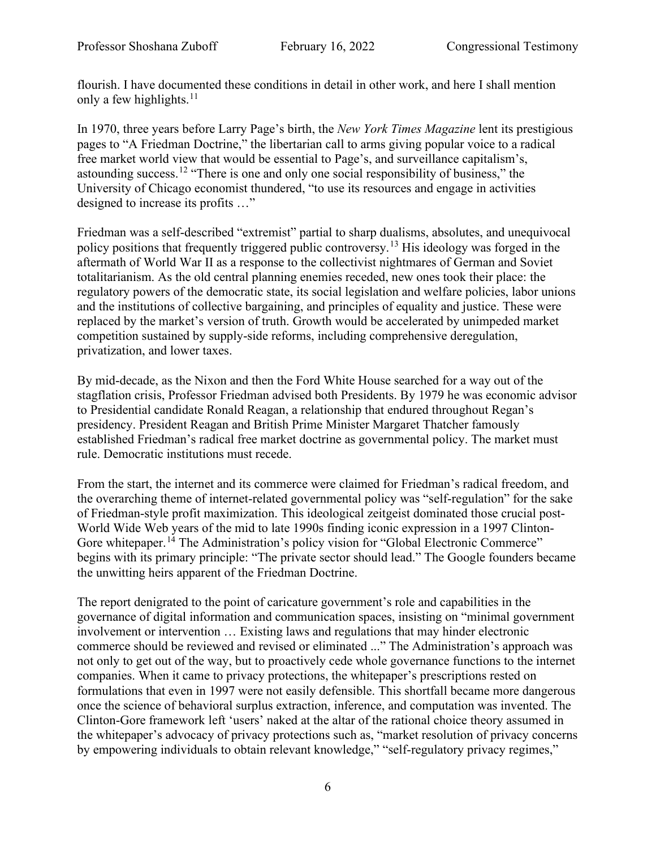flourish. I have documented these conditions in detail in other work, and here I shall mention only a few highlights. $11$ 

In 1970, three years before Larry Page's birth, the *New York Times Magazine* lent its prestigious pages to "A Friedman Doctrine," the libertarian call to arms giving popular voice to a radical free market world view that would be essential to Page's, and surveillance capitalism's, astounding success.[12](#page-15-11) "There is one and only one social responsibility of business," the University of Chicago economist thundered, "to use its resources and engage in activities designed to increase its profits …"

Friedman was a self-described "extremist" partial to sharp dualisms, absolutes, and unequivocal policy positions that frequently triggered public controversy.<sup>[13](#page-15-12)</sup> His ideology was forged in the aftermath of World War II as a response to the collectivist nightmares of German and Soviet totalitarianism. As the old central planning enemies receded, new ones took their place: the regulatory powers of the democratic state, its social legislation and welfare policies, labor unions and the institutions of collective bargaining, and principles of equality and justice. These were replaced by the market's version of truth. Growth would be accelerated by unimpeded market competition sustained by supply-side reforms, including comprehensive deregulation, privatization, and lower taxes.

By mid-decade, as the Nixon and then the Ford White House searched for a way out of the stagflation crisis, Professor Friedman advised both Presidents. By 1979 he was economic advisor to Presidential candidate Ronald Reagan, a relationship that endured throughout Regan's presidency. President Reagan and British Prime Minister Margaret Thatcher famously established Friedman's radical free market doctrine as governmental policy. The market must rule. Democratic institutions must recede.

From the start, the internet and its commerce were claimed for Friedman's radical freedom, and the overarching theme of internet-related governmental policy was "self-regulation" for the sake of Friedman-style profit maximization. This ideological zeitgeist dominated those crucial post-World Wide Web years of the mid to late 1990s finding iconic expression in a 1997 Clinton-Gore whitepaper.<sup>[14](#page-15-13)</sup> The Administration's policy vision for "Global Electronic Commerce" begins with its primary principle: "The private sector should lead." The Google founders became the unwitting heirs apparent of the Friedman Doctrine.

The report denigrated to the point of caricature government's role and capabilities in the governance of digital information and communication spaces, insisting on "minimal government involvement or intervention … Existing laws and regulations that may hinder electronic commerce should be reviewed and revised or eliminated ..." The Administration's approach was not only to get out of the way, but to proactively cede whole governance functions to the internet companies. When it came to privacy protections, the whitepaper's prescriptions rested on formulations that even in 1997 were not easily defensible. This shortfall became more dangerous once the science of behavioral surplus extraction, inference, and computation was invented. The Clinton-Gore framework left 'users' naked at the altar of the rational choice theory assumed in the whitepaper's advocacy of privacy protections such as, "market resolution of privacy concerns by empowering individuals to obtain relevant knowledge," "self-regulatory privacy regimes,"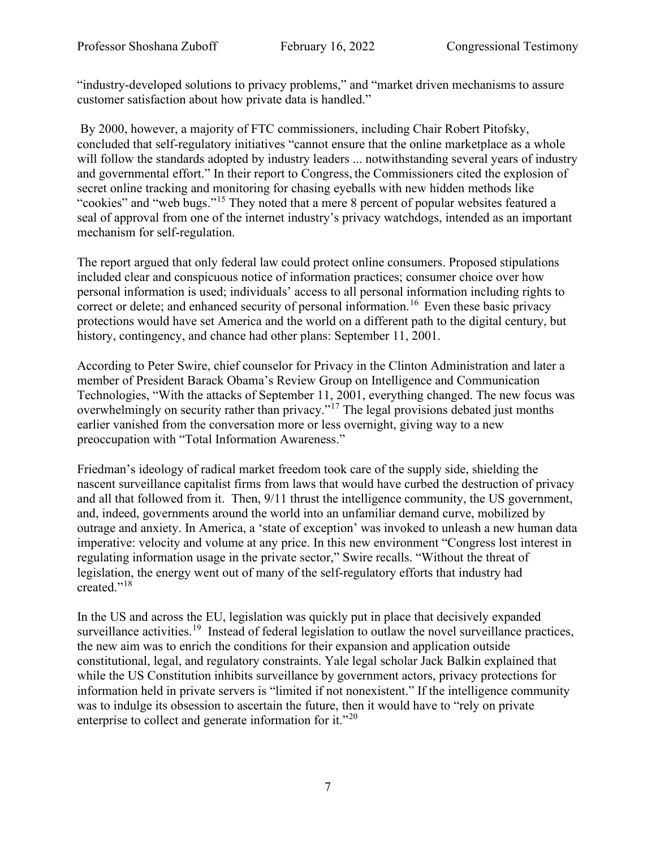"industry-developed solutions to privacy problems," and "market driven mechanisms to assure customer satisfaction about how private data is handled."

By 2000, however, a majority of FTC commissioners, including Chair Robert Pitofsky, concluded that self-regulatory initiatives "cannot ensure that the online marketplace as a whole will follow the standards adopted by industry leaders ... notwithstanding several years of industry and governmental effort." In their report to Congress, the Commissioners cited the explosion of secret online tracking and monitoring for chasing eyeballs with new hidden methods like "cookies" and "web bugs."[15](#page-15-14) They noted that a mere 8 percent of popular websites featured a seal of approval from one of the internet industry's privacy watchdogs, intended as an important mechanism for self-regulation.

The report argued that only federal law could protect online consumers. Proposed stipulations included clear and conspicuous notice of information practices; consumer choice over how personal information is used; individuals' access to all personal information including rights to correct or delete; and enhanced security of personal information.<sup>[16](#page-15-15)</sup> Even these basic privacy protections would have set America and the world on a different path to the digital century, but history, contingency, and chance had other plans: September 11, 2001.

According to Peter Swire, chief counselor for Privacy in the Clinton Administration and later a member of President Barack Obama's Review Group on Intelligence and Communication Technologies, "With the attacks of September 11, 2001, everything changed. The new focus was overwhelmingly on security rather than privacy."<sup>[17](#page-16-0)</sup> The legal provisions debated just months earlier vanished from the conversation more or less overnight, giving way to a new preoccupation with "Total Information Awareness."

Friedman's ideology of radical market freedom took care of the supply side, shielding the nascent surveillance capitalist firms from laws that would have curbed the destruction of privacy and all that followed from it. Then, 9/11 thrust the intelligence community, the US government, and, indeed, governments around the world into an unfamiliar demand curve, mobilized by outrage and anxiety. In America, a 'state of exception' was invoked to unleash a new human data imperative: velocity and volume at any price. In this new environment "Congress lost interest in regulating information usage in the private sector," Swire recalls. "Without the threat of legislation, the energy went out of many of the self-regulatory efforts that industry had created."[18](#page-16-1)

In the US and across the EU, legislation was quickly put in place that decisively expanded surveillance activities.<sup>19</sup> Instead of federal legislation to outlaw the novel surveillance practices, the new aim was to enrich the conditions for their expansion and application outside constitutional, legal, and regulatory constraints. Yale legal scholar Jack Balkin explained that while the US Constitution inhibits surveillance by government actors, privacy protections for information held in private servers is "limited if not nonexistent." If the intelligence community was to indulge its obsession to ascertain the future, then it would have to "rely on private enterprise to collect and generate information for it."<sup>[20](#page-16-3)</sup>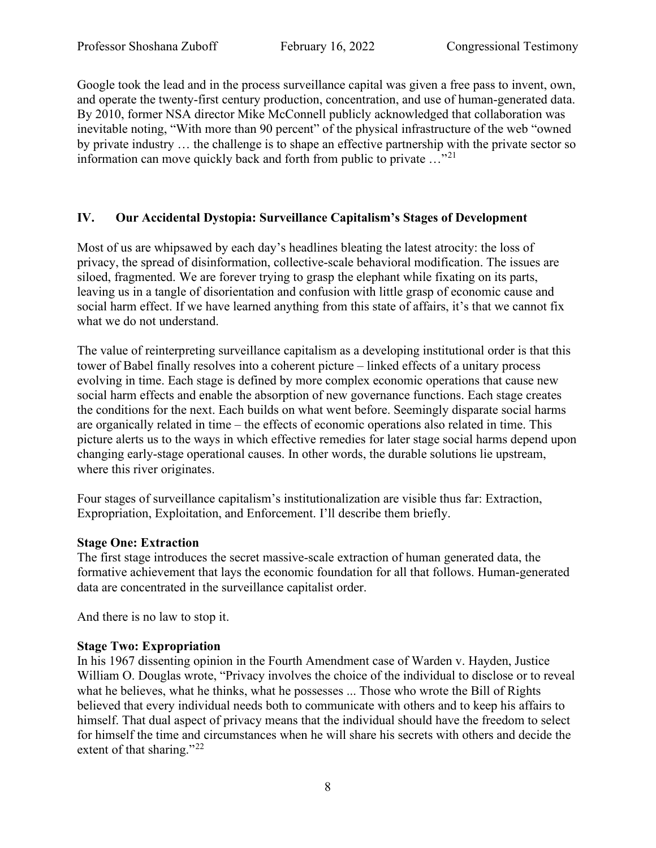Google took the lead and in the process surveillance capital was given a free pass to invent, own, and operate the twenty-first century production, concentration, and use of human-generated data. By 2010, former NSA director Mike McConnell publicly acknowledged that collaboration was inevitable noting, "With more than 90 percent" of the physical infrastructure of the web "owned by private industry … the challenge is to shape an effective partnership with the private sector so information can move quickly back and forth from public to private …"[21](#page-16-4)

## **IV. Our Accidental Dystopia: Surveillance Capitalism's Stages of Development**

Most of us are whipsawed by each day's headlines bleating the latest atrocity: the loss of privacy, the spread of disinformation, collective-scale behavioral modification. The issues are siloed, fragmented. We are forever trying to grasp the elephant while fixating on its parts, leaving us in a tangle of disorientation and confusion with little grasp of economic cause and social harm effect. If we have learned anything from this state of affairs, it's that we cannot fix what we do not understand.

The value of reinterpreting surveillance capitalism as a developing institutional order is that this tower of Babel finally resolves into a coherent picture – linked effects of a unitary process evolving in time. Each stage is defined by more complex economic operations that cause new social harm effects and enable the absorption of new governance functions. Each stage creates the conditions for the next. Each builds on what went before. Seemingly disparate social harms are organically related in time – the effects of economic operations also related in time. This picture alerts us to the ways in which effective remedies for later stage social harms depend upon changing early-stage operational causes. In other words, the durable solutions lie upstream, where this river originates.

Four stages of surveillance capitalism's institutionalization are visible thus far: Extraction, Expropriation, Exploitation, and Enforcement. I'll describe them briefly.

## **Stage One: Extraction**

The first stage introduces the secret massive-scale extraction of human generated data, the formative achievement that lays the economic foundation for all that follows. Human-generated data are concentrated in the surveillance capitalist order.

And there is no law to stop it.

## **Stage Two: Expropriation**

In his 1967 dissenting opinion in the Fourth Amendment case of Warden v. Hayden, Justice William O. Douglas wrote, "Privacy involves the choice of the individual to disclose or to reveal what he believes, what he thinks, what he possesses ... Those who wrote the Bill of Rights believed that every individual needs both to communicate with others and to keep his affairs to himself. That dual aspect of privacy means that the individual should have the freedom to select for himself the time and circumstances when he will share his secrets with others and decide the extent of that sharing."<sup>[22](#page-16-5)</sup>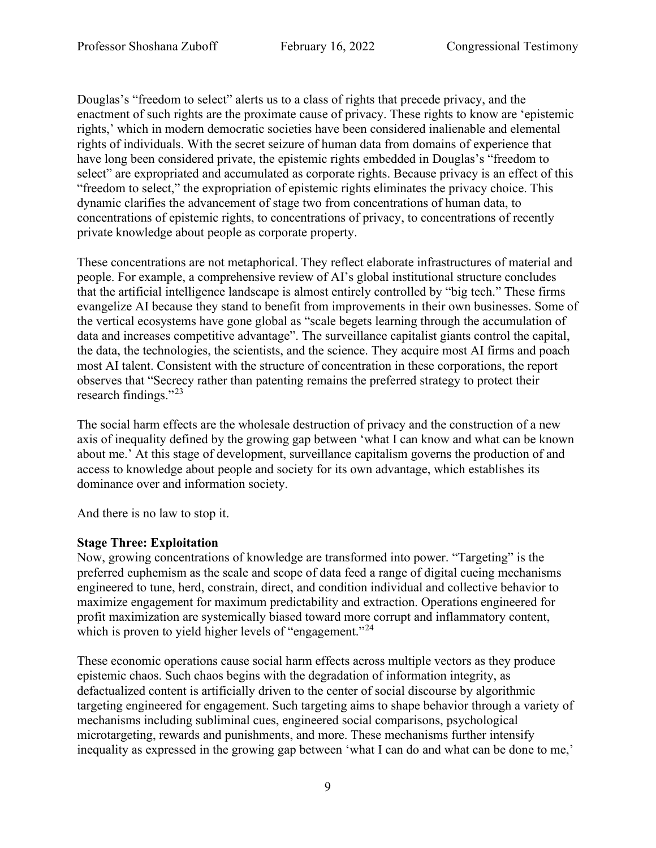Douglas's "freedom to select" alerts us to a class of rights that precede privacy, and the enactment of such rights are the proximate cause of privacy. These rights to know are 'epistemic rights,' which in modern democratic societies have been considered inalienable and elemental rights of individuals. With the secret seizure of human data from domains of experience that have long been considered private, the epistemic rights embedded in Douglas's "freedom to select" are expropriated and accumulated as corporate rights. Because privacy is an effect of this "freedom to select," the expropriation of epistemic rights eliminates the privacy choice. This dynamic clarifies the advancement of stage two from concentrations of human data, to concentrations of epistemic rights, to concentrations of privacy, to concentrations of recently private knowledge about people as corporate property.

These concentrations are not metaphorical. They reflect elaborate infrastructures of material and people. For example, a comprehensive review of AI's global institutional structure concludes that the artificial intelligence landscape is almost entirely controlled by "big tech." These firms evangelize AI because they stand to benefit from improvements in their own businesses. Some of the vertical ecosystems have gone global as "scale begets learning through the accumulation of data and increases competitive advantage". The surveillance capitalist giants control the capital, the data, the technologies, the scientists, and the science. They acquire most AI firms and poach most AI talent. Consistent with the structure of concentration in these corporations, the report observes that "Secrecy rather than patenting remains the preferred strategy to protect their research findings."<sup>[23](#page-17-0)</sup>

The social harm effects are the wholesale destruction of privacy and the construction of a new axis of inequality defined by the growing gap between 'what I can know and what can be known about me.' At this stage of development, surveillance capitalism governs the production of and access to knowledge about people and society for its own advantage, which establishes its dominance over and information society.

And there is no law to stop it.

#### **Stage Three: Exploitation**

Now, growing concentrations of knowledge are transformed into power. "Targeting" is the preferred euphemism as the scale and scope of data feed a range of digital cueing mechanisms engineered to tune, herd, constrain, direct, and condition individual and collective behavior to maximize engagement for maximum predictability and extraction. Operations engineered for profit maximization are systemically biased toward more corrupt and inflammatory content, which is proven to yield higher levels of "engagement."<sup>[24](#page-17-1)</sup>

These economic operations cause social harm effects across multiple vectors as they produce epistemic chaos. Such chaos begins with the degradation of information integrity, as defactualized content is artificially driven to the center of social discourse by algorithmic targeting engineered for engagement. Such targeting aims to shape behavior through a variety of mechanisms including subliminal cues, engineered social comparisons, psychological microtargeting, rewards and punishments, and more. These mechanisms further intensify inequality as expressed in the growing gap between 'what I can do and what can be done to me,'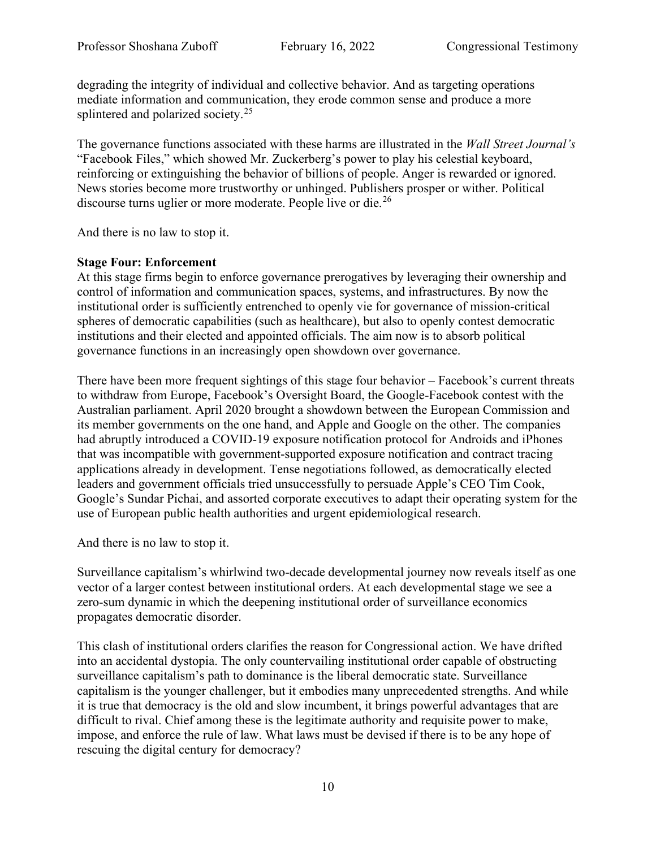degrading the integrity of individual and collective behavior. And as targeting operations mediate information and communication, they erode common sense and produce a more splintered and polarized society.<sup>[25](#page-17-2)</sup>

The governance functions associated with these harms are illustrated in the *Wall Street Journal's* "Facebook Files," which showed Mr. Zuckerberg's power to play his celestial keyboard, reinforcing or extinguishing the behavior of billions of people. Anger is rewarded or ignored. News stories become more trustworthy or unhinged. Publishers prosper or wither. Political discourse turns uglier or more moderate. People live or die.<sup>[26](#page-17-3)</sup>

And there is no law to stop it.

### **Stage Four: Enforcement**

At this stage firms begin to enforce governance prerogatives by leveraging their ownership and control of information and communication spaces, systems, and infrastructures. By now the institutional order is sufficiently entrenched to openly vie for governance of mission-critical spheres of democratic capabilities (such as healthcare), but also to openly contest democratic institutions and their elected and appointed officials. The aim now is to absorb political governance functions in an increasingly open showdown over governance.

There have been more frequent sightings of this stage four behavior – Facebook's current threats to withdraw from Europe, Facebook's Oversight Board, the Google-Facebook contest with the Australian parliament. April 2020 brought a showdown between the European Commission and its member governments on the one hand, and Apple and Google on the other. The companies had abruptly introduced a COVID-19 exposure notification protocol for Androids and iPhones that was incompatible with government-supported exposure notification and contract tracing applications already in development. Tense negotiations followed, as democratically elected leaders and government officials tried unsuccessfully to persuade Apple's CEO Tim Cook, Google's Sundar Pichai, and assorted corporate executives to adapt their operating system for the use of European public health authorities and urgent epidemiological research.

And there is no law to stop it.

Surveillance capitalism's whirlwind two-decade developmental journey now reveals itself as one vector of a larger contest between institutional orders. At each developmental stage we see a zero-sum dynamic in which the deepening institutional order of surveillance economics propagates democratic disorder.

This clash of institutional orders clarifies the reason for Congressional action. We have drifted into an accidental dystopia. The only countervailing institutional order capable of obstructing surveillance capitalism's path to dominance is the liberal democratic state. Surveillance capitalism is the younger challenger, but it embodies many unprecedented strengths. And while it is true that democracy is the old and slow incumbent, it brings powerful advantages that are difficult to rival. Chief among these is the legitimate authority and requisite power to make, impose, and enforce the rule of law. What laws must be devised if there is to be any hope of rescuing the digital century for democracy?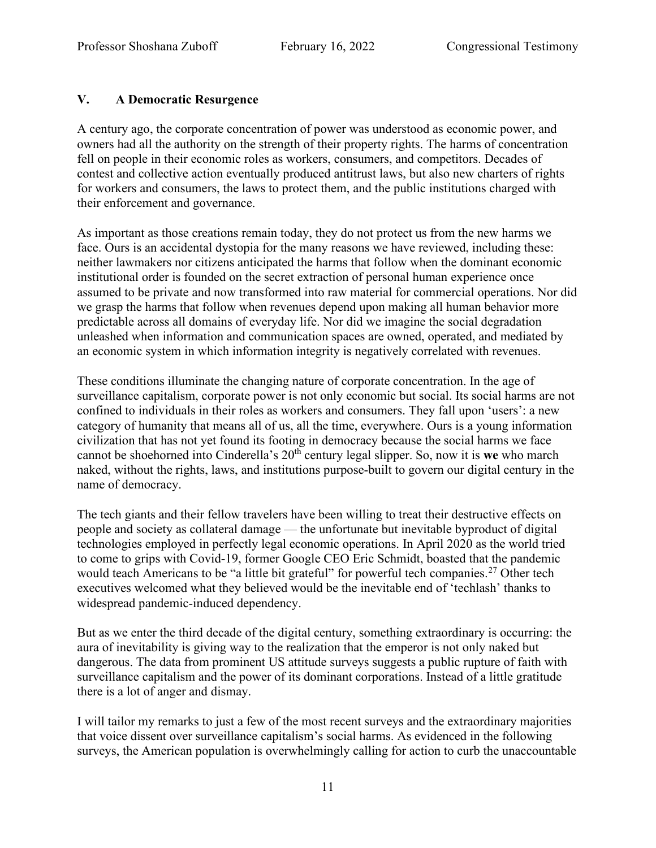## **V. A Democratic Resurgence**

A century ago, the corporate concentration of power was understood as economic power, and owners had all the authority on the strength of their property rights. The harms of concentration fell on people in their economic roles as workers, consumers, and competitors. Decades of contest and collective action eventually produced antitrust laws, but also new charters of rights for workers and consumers, the laws to protect them, and the public institutions charged with their enforcement and governance.

As important as those creations remain today, they do not protect us from the new harms we face. Ours is an accidental dystopia for the many reasons we have reviewed, including these: neither lawmakers nor citizens anticipated the harms that follow when the dominant economic institutional order is founded on the secret extraction of personal human experience once assumed to be private and now transformed into raw material for commercial operations. Nor did we grasp the harms that follow when revenues depend upon making all human behavior more predictable across all domains of everyday life. Nor did we imagine the social degradation unleashed when information and communication spaces are owned, operated, and mediated by an economic system in which information integrity is negatively correlated with revenues.

These conditions illuminate the changing nature of corporate concentration. In the age of surveillance capitalism, corporate power is not only economic but social. Its social harms are not confined to individuals in their roles as workers and consumers. They fall upon 'users': a new category of humanity that means all of us, all the time, everywhere. Ours is a young information civilization that has not yet found its footing in democracy because the social harms we face cannot be shoehorned into Cinderella's 20th century legal slipper. So, now it is **we** who march naked, without the rights, laws, and institutions purpose-built to govern our digital century in the name of democracy.

The tech giants and their fellow travelers have been willing to treat their destructive effects on people and society as collateral damage — the unfortunate but inevitable byproduct of digital technologies employed in perfectly legal economic operations. In April 2020 as the world tried to come to grips with Covid-19, former Google CEO Eric Schmidt, boasted that the pandemic would teach Americans to be "a little bit grateful" for powerful tech companies.<sup>[27](#page-17-4)</sup> Other tech executives welcomed what they believed would be the inevitable end of 'techlash' thanks to widespread pandemic-induced dependency.

But as we enter the third decade of the digital century, something extraordinary is occurring: the aura of inevitability is giving way to the realization that the emperor is not only naked but dangerous. The data from prominent US attitude surveys suggests a public rupture of faith with surveillance capitalism and the power of its dominant corporations. Instead of a little gratitude there is a lot of anger and dismay.

I will tailor my remarks to just a few of the most recent surveys and the extraordinary majorities that voice dissent over surveillance capitalism's social harms. As evidenced in the following surveys, the American population is overwhelmingly calling for action to curb the unaccountable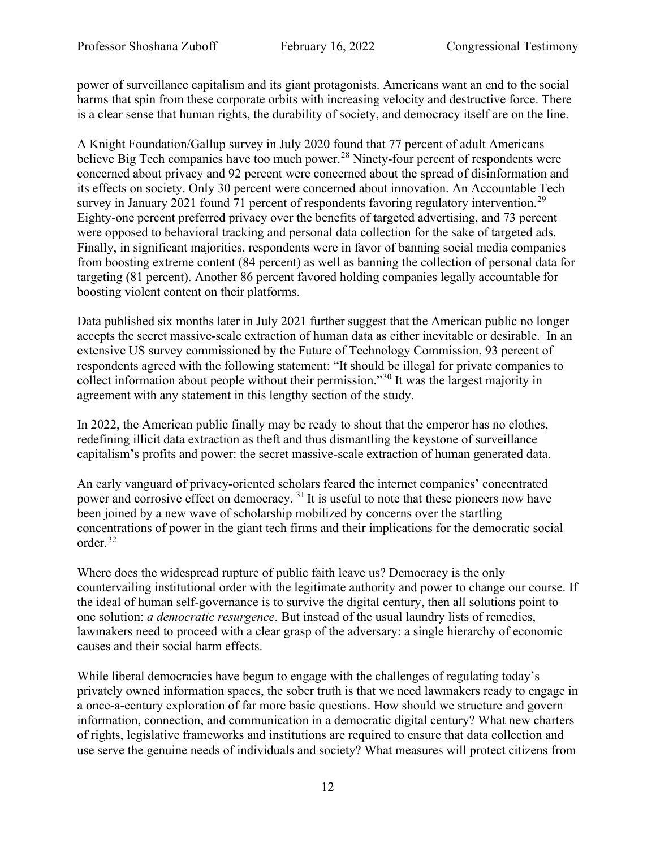power of surveillance capitalism and its giant protagonists. Americans want an end to the social harms that spin from these corporate orbits with increasing velocity and destructive force. There is a clear sense that human rights, the durability of society, and democracy itself are on the line.

A Knight Foundation/Gallup survey in July 2020 found that 77 percent of adult Americans believe Big Tech companies have too much power.<sup>[28](#page-17-5)</sup> Ninety-four percent of respondents were concerned about privacy and 92 percent were concerned about the spread of disinformation and its effects on society. Only 30 percent were concerned about innovation. An Accountable Tech survey in January 2021 found 71 percent of respondents favoring regulatory intervention.<sup>[29](#page-17-6)</sup> Eighty-one percent preferred privacy over the benefits of targeted advertising, and 73 percent were opposed to behavioral tracking and personal data collection for the sake of targeted ads. Finally, in significant majorities, respondents were in favor of banning social media companies from boosting extreme content (84 percent) as well as banning the collection of personal data for targeting (81 percent). Another 86 percent favored holding companies legally accountable for boosting violent content on their platforms.

Data published six months later in July 2021 further suggest that the American public no longer accepts the secret massive-scale extraction of human data as either inevitable or desirable. In an extensive US survey commissioned by the Future of Technology Commission, 93 percent of respondents agreed with the following statement: "It should be illegal for private companies to collect information about people without their permission."[30](#page-17-7) It was the largest majority in agreement with any statement in this lengthy section of the study.

In 2022, the American public finally may be ready to shout that the emperor has no clothes, redefining illicit data extraction as theft and thus dismantling the keystone of surveillance capitalism's profits and power: the secret massive-scale extraction of human generated data.

An early vanguard of privacy-oriented scholars feared the internet companies' concentrated power and corrosive effect on democracy. [31](#page-17-8) It is useful to note that these pioneers now have been joined by a new wave of scholarship mobilized by concerns over the startling concentrations of power in the giant tech firms and their implications for the democratic social order.[32](#page-17-9)

Where does the widespread rupture of public faith leave us? Democracy is the only countervailing institutional order with the legitimate authority and power to change our course. If the ideal of human self-governance is to survive the digital century, then all solutions point to one solution: *a democratic resurgence*. But instead of the usual laundry lists of remedies, lawmakers need to proceed with a clear grasp of the adversary: a single hierarchy of economic causes and their social harm effects.

While liberal democracies have begun to engage with the challenges of regulating today's privately owned information spaces, the sober truth is that we need lawmakers ready to engage in a once-a-century exploration of far more basic questions. How should we structure and govern information, connection, and communication in a democratic digital century? What new charters of rights, legislative frameworks and institutions are required to ensure that data collection and use serve the genuine needs of individuals and society? What measures will protect citizens from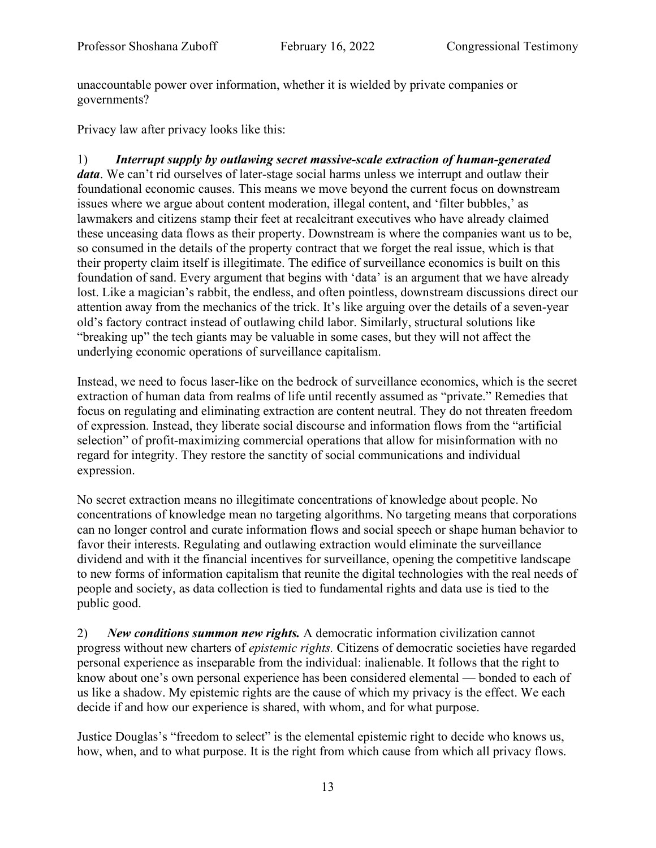unaccountable power over information, whether it is wielded by private companies or governments?

Privacy law after privacy looks like this:

1) *Interrupt supply by outlawing secret massive-scale extraction of human-generated data*. We can't rid ourselves of later-stage social harms unless we interrupt and outlaw their foundational economic causes. This means we move beyond the current focus on downstream issues where we argue about content moderation, illegal content, and 'filter bubbles,' as lawmakers and citizens stamp their feet at recalcitrant executives who have already claimed these unceasing data flows as their property. Downstream is where the companies want us to be, so consumed in the details of the property contract that we forget the real issue, which is that their property claim itself is illegitimate. The edifice of surveillance economics is built on this foundation of sand. Every argument that begins with 'data' is an argument that we have already lost. Like a magician's rabbit, the endless, and often pointless, downstream discussions direct our attention away from the mechanics of the trick. It's like arguing over the details of a seven-year old's factory contract instead of outlawing child labor. Similarly, structural solutions like "breaking up" the tech giants may be valuable in some cases, but they will not affect the underlying economic operations of surveillance capitalism.

Instead, we need to focus laser-like on the bedrock of surveillance economics, which is the secret extraction of human data from realms of life until recently assumed as "private." Remedies that focus on regulating and eliminating extraction are content neutral. They do not threaten freedom of expression. Instead, they liberate social discourse and information flows from the "artificial selection" of profit-maximizing commercial operations that allow for misinformation with no regard for integrity. They restore the sanctity of social communications and individual expression.

No secret extraction means no illegitimate concentrations of knowledge about people. No concentrations of knowledge mean no targeting algorithms. No targeting means that corporations can no longer control and curate information flows and social speech or shape human behavior to favor their interests. Regulating and outlawing extraction would eliminate the surveillance dividend and with it the financial incentives for surveillance, opening the competitive landscape to new forms of information capitalism that reunite the digital technologies with the real needs of people and society, as data collection is tied to fundamental rights and data use is tied to the public good.

2) *New conditions summon new rights.* A democratic information civilization cannot progress without new charters of *epistemic rights.* Citizens of democratic societies have regarded personal experience as inseparable from the individual: inalienable. It follows that the right to know about one's own personal experience has been considered elemental — bonded to each of us like a shadow. My epistemic rights are the cause of which my privacy is the effect. We each decide if and how our experience is shared, with whom, and for what purpose.

Justice Douglas's "freedom to select" is the elemental epistemic right to decide who knows us, how, when, and to what purpose. It is the right from which cause from which all privacy flows.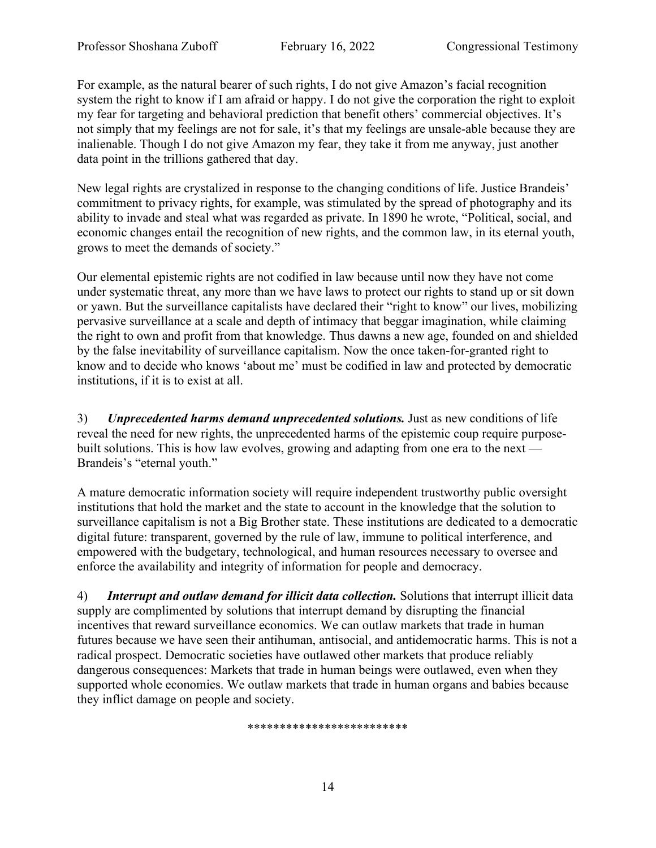For example, as the natural bearer of such rights, I do not give Amazon's facial recognition system the right to know if I am afraid or happy. I do not give the corporation the right to exploit my fear for targeting and behavioral prediction that benefit others' commercial objectives. It's not simply that my feelings are not for sale, it's that my feelings are unsale-able because they are inalienable. Though I do not give Amazon my fear, they take it from me anyway, just another data point in the trillions gathered that day.

New legal rights are crystalized in response to the changing conditions of life. Justice Brandeis' commitment to privacy rights, for example, was stimulated by the spread of photography and its ability to invade and steal what was regarded as private. In 1890 he wrote, "Political, social, and economic changes entail the recognition of new rights, and the common law, in its eternal youth, grows to meet the demands of society."

Our elemental epistemic rights are not codified in law because until now they have not come under systematic threat, any more than we have laws to protect our rights to stand up or sit down or yawn. But the surveillance capitalists have declared their "right to know" our lives, mobilizing pervasive surveillance at a scale and depth of intimacy that beggar imagination, while claiming the right to own and profit from that knowledge. Thus dawns a new age, founded on and shielded by the false inevitability of surveillance capitalism. Now the once taken-for-granted right to know and to decide who knows 'about me' must be codified in law and protected by democratic institutions, if it is to exist at all.

3) *Unprecedented harms demand unprecedented solutions.* Just as new conditions of life reveal the need for new rights, the unprecedented harms of the epistemic coup require purposebuilt solutions. This is how law evolves, growing and adapting from one era to the next — Brandeis's "eternal youth."

A mature democratic information society will require independent trustworthy public oversight institutions that hold the market and the state to account in the knowledge that the solution to surveillance capitalism is not a Big Brother state. These institutions are dedicated to a democratic digital future: transparent, governed by the rule of law, immune to political interference, and empowered with the budgetary, technological, and human resources necessary to oversee and enforce the availability and integrity of information for people and democracy.

4) *Interrupt and outlaw demand for illicit data collection.* Solutions that interrupt illicit data supply are complimented by solutions that interrupt demand by disrupting the financial incentives that reward surveillance economics. We can outlaw markets that trade in human futures because we have seen their antihuman, antisocial, and antidemocratic harms. This is not a radical prospect. Democratic societies have outlawed other markets that produce reliably dangerous consequences: Markets that trade in human beings were outlawed, even when they supported whole economies. We outlaw markets that trade in human organs and babies because they inflict damage on people and society.

\*\*\*\*\*\*\*\*\*\*\*\*\*\*\*\*\*\*\*\*\*\*\*\*\*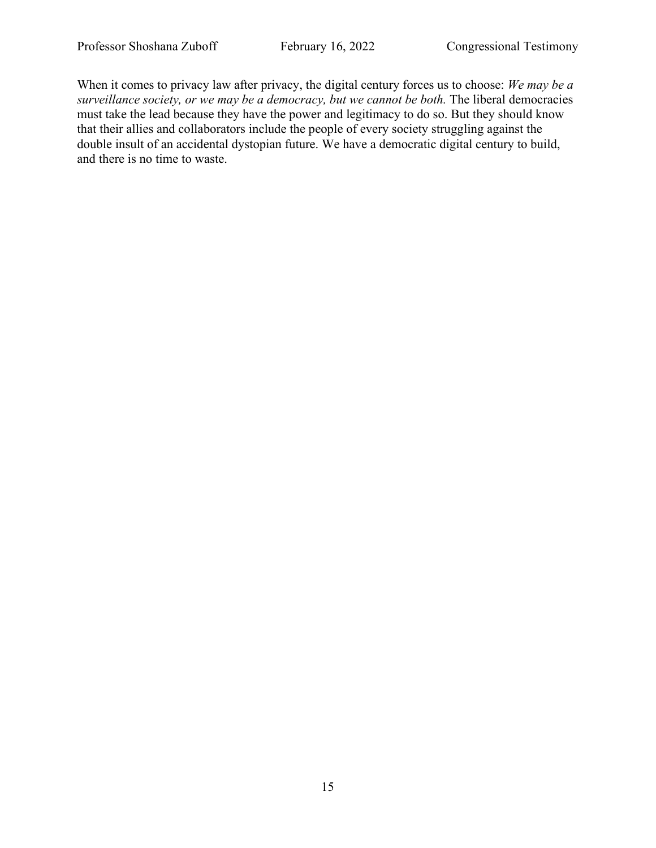When it comes to privacy law after privacy, the digital century forces us to choose: *We may be a surveillance society, or we may be a democracy, but we cannot be both.* The liberal democracies must take the lead because they have the power and legitimacy to do so. But they should know that their allies and collaborators include the people of every society struggling against the double insult of an accidental dystopian future. We have a democratic digital century to build, and there is no time to waste.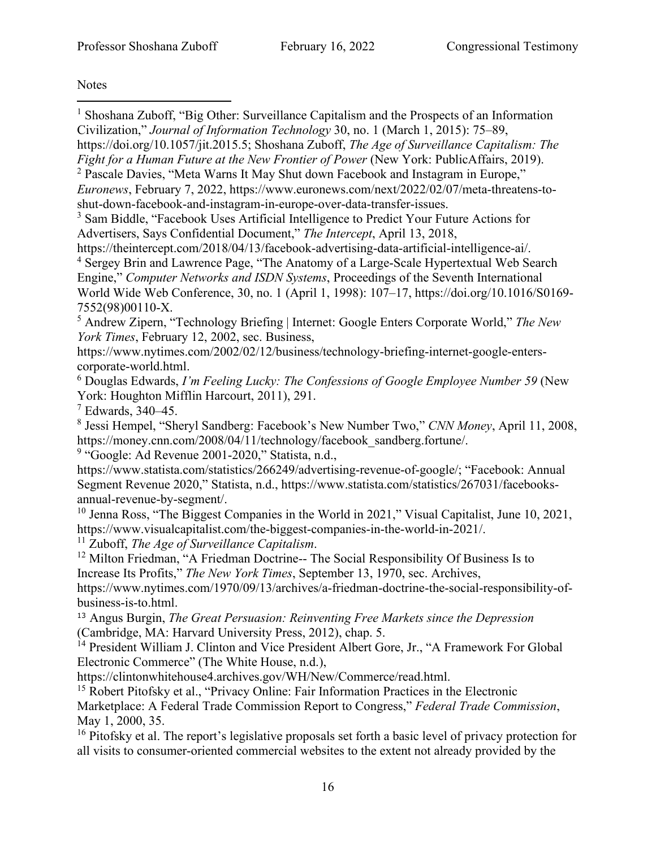**Notes** 

<span id="page-15-15"></span><span id="page-15-14"></span><span id="page-15-13"></span><span id="page-15-12"></span><span id="page-15-11"></span><span id="page-15-10"></span><span id="page-15-9"></span><span id="page-15-8"></span><span id="page-15-7"></span><span id="page-15-6"></span><span id="page-15-5"></span><span id="page-15-4"></span><span id="page-15-3"></span><span id="page-15-2"></span><span id="page-15-1"></span><span id="page-15-0"></span><sup>1</sup> Shoshana Zuboff, "Big Other: Surveillance Capitalism and the Prospects of an Information Civilization," *Journal of Information Technology* 30, no. 1 (March 1, 2015): 75–89, https://doi.org/10.1057/jit.2015.5; Shoshana Zuboff, *The Age of Surveillance Capitalism: The Fight for a Human Future at the New Frontier of Power* (New York: PublicAffairs, 2019). <sup>2</sup> Pascale Davies, "Meta Warns It May Shut down Facebook and Instagram in Europe," *Euronews*, February 7, 2022, https://www.euronews.com/next/2022/02/07/meta-threatens-toshut-down-facebook-and-instagram-in-europe-over-data-transfer-issues. <sup>3</sup> Sam Biddle, "Facebook Uses Artificial Intelligence to Predict Your Future Actions for Advertisers, Says Confidential Document," *The Intercept*, April 13, 2018, https://theintercept.com/2018/04/13/facebook-advertising-data-artificial-intelligence-ai/. <sup>4</sup> Sergey Brin and Lawrence Page, "The Anatomy of a Large-Scale Hypertextual Web Search Engine," *Computer Networks and ISDN Systems*, Proceedings of the Seventh International World Wide Web Conference, 30, no. 1 (April 1, 1998): 107–17, https://doi.org/10.1016/S0169- 7552(98)00110-X. <sup>5</sup> Andrew Zipern, "Technology Briefing | Internet: Google Enters Corporate World," *The New York Times*, February 12, 2002, sec. Business, https://www.nytimes.com/2002/02/12/business/technology-briefing-internet-google-enterscorporate-world.html. <sup>6</sup> Douglas Edwards, *I'm Feeling Lucky: The Confessions of Google Employee Number 59* (New York: Houghton Mifflin Harcourt, 2011), 291.  $7$  Edwards, 340–45. <sup>8</sup> Jessi Hempel, "Sheryl Sandberg: Facebook's New Number Two," *CNN Money*, April 11, 2008, https://money.cnn.com/2008/04/11/technology/facebook\_sandberg.fortune/. <sup>9</sup> "Google: Ad Revenue 2001-2020," Statista, n.d., https://www.statista.com/statistics/266249/advertising-revenue-of-google/; "Facebook: Annual Segment Revenue 2020," Statista, n.d., https://www.statista.com/statistics/267031/facebooksannual-revenue-by-segment/. <sup>10</sup> Jenna Ross, "The Biggest Companies in the World in 2021," Visual Capitalist, June 10, 2021, https://www.visualcapitalist.com/the-biggest-companies-in-the-world-in-2021/. <sup>11</sup> Zuboff, *The Age of Surveillance Capitalism*.  $12$  Milton Friedman, "A Friedman Doctrine-- The Social Responsibility Of Business Is to Increase Its Profits," *The New York Times*, September 13, 1970, sec. Archives, https://www.nytimes.com/1970/09/13/archives/a-friedman-doctrine-the-social-responsibility-ofbusiness-is-to.html. <sup>13</sup> Angus Burgin, *The Great Persuasion: Reinventing Free Markets since the Depression* (Cambridge, MA: Harvard University Press, 2012), chap. 5. <sup>14</sup> President William J. Clinton and Vice President Albert Gore, Jr., "A Framework For Global Electronic Commerce" (The White House, n.d.), https://clintonwhitehouse4.archives.gov/WH/New/Commerce/read.html. <sup>15</sup> Robert Pitofsky et al., "Privacy Online: Fair Information Practices in the Electronic Marketplace: A Federal Trade Commission Report to Congress," *Federal Trade Commission*, May 1, 2000, 35. <sup>16</sup> Pitofsky et al. The report's legislative proposals set forth a basic level of privacy protection for all visits to consumer-oriented commercial websites to the extent not already provided by the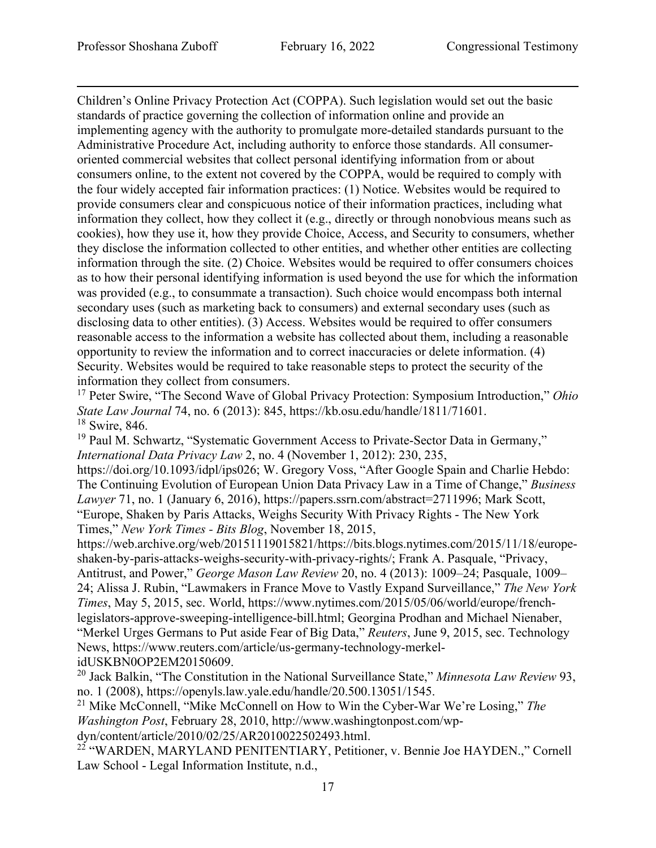Children's Online Privacy Protection Act (COPPA). Such legislation would set out the basic standards of practice governing the collection of information online and provide an implementing agency with the authority to promulgate more-detailed standards pursuant to the Administrative Procedure Act, including authority to enforce those standards. All consumeroriented commercial websites that collect personal identifying information from or about consumers online, to the extent not covered by the COPPA, would be required to comply with the four widely accepted fair information practices: (1) Notice. Websites would be required to provide consumers clear and conspicuous notice of their information practices, including what information they collect, how they collect it (e.g., directly or through nonobvious means such as cookies), how they use it, how they provide Choice, Access, and Security to consumers, whether they disclose the information collected to other entities, and whether other entities are collecting information through the site. (2) Choice. Websites would be required to offer consumers choices as to how their personal identifying information is used beyond the use for which the information was provided (e.g., to consummate a transaction). Such choice would encompass both internal secondary uses (such as marketing back to consumers) and external secondary uses (such as disclosing data to other entities). (3) Access. Websites would be required to offer consumers reasonable access to the information a website has collected about them, including a reasonable opportunity to review the information and to correct inaccuracies or delete information. (4) Security. Websites would be required to take reasonable steps to protect the security of the information they collect from consumers.

<span id="page-16-0"></span><sup>17</sup> Peter Swire, "The Second Wave of Global Privacy Protection: Symposium Introduction," *Ohio State Law Journal* 74, no. 6 (2013): 845, https://kb.osu.edu/handle/1811/71601. <sup>18</sup> Swire, 846.

<span id="page-16-2"></span><span id="page-16-1"></span><sup>19</sup> Paul M. Schwartz, "Systematic Government Access to Private-Sector Data in Germany," *International Data Privacy Law* 2, no. 4 (November 1, 2012): 230, 235,

https://doi.org/10.1093/idpl/ips026; W. Gregory Voss, "After Google Spain and Charlie Hebdo: The Continuing Evolution of European Union Data Privacy Law in a Time of Change," *Business Lawyer* 71, no. 1 (January 6, 2016), https://papers.ssrn.com/abstract=2711996; Mark Scott, "Europe, Shaken by Paris Attacks, Weighs Security With Privacy Rights - The New York Times," *New York Times - Bits Blog*, November 18, 2015,

https://web.archive.org/web/20151119015821/https://bits.blogs.nytimes.com/2015/11/18/europeshaken-by-paris-attacks-weighs-security-with-privacy-rights/; Frank A. Pasquale, "Privacy, Antitrust, and Power," *George Mason Law Review* 20, no. 4 (2013): 1009–24; Pasquale, 1009– 24; Alissa J. Rubin, "Lawmakers in France Move to Vastly Expand Surveillance," *The New York Times*, May 5, 2015, sec. World, https://www.nytimes.com/2015/05/06/world/europe/frenchlegislators-approve-sweeping-intelligence-bill.html; Georgina Prodhan and Michael Nienaber, "Merkel Urges Germans to Put aside Fear of Big Data," *Reuters*, June 9, 2015, sec. Technology News, https://www.reuters.com/article/us-germany-technology-merkelidUSKBN0OP2EM20150609.

<span id="page-16-3"></span><sup>20</sup> Jack Balkin, "The Constitution in the National Surveillance State," *Minnesota Law Review* 93, no. 1 (2008), https://openyls.law.yale.edu/handle/20.500.13051/1545.

<span id="page-16-4"></span><sup>21</sup> Mike McConnell, "Mike McConnell on How to Win the Cyber-War We're Losing," The *Washington Post*, February 28, 2010, http://www.washingtonpost.com/wpdyn/content/article/2010/02/25/AR2010022502493.html.

<span id="page-16-5"></span><sup>22</sup> "WARDEN, MARYLAND PENITENTIARY, Petitioner, v. Bennie Joe HAYDEN.," Cornell Law School - Legal Information Institute, n.d.,